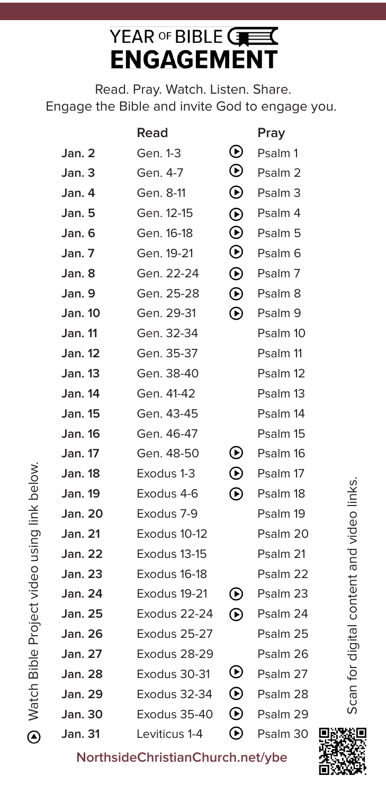## YEAR OF BIBLE CHE **ENGAGEMENT**

Read. Pray. Watch. Listen. Share. Engage the Bible and invite God to engage you.

|                | Read          |                             | Pray               |
|----------------|---------------|-----------------------------|--------------------|
| Jan. 2         | Gen. 1-3      | $\boldsymbol{\circledcirc}$ | Psalm 1            |
| Jan. 3         | Gen. 4-7      | $\bm{\mathsf{\Theta}}$      | Psalm <sub>2</sub> |
| Jan. 4         | Gen. 8-11     | $\odot$                     | Psalm <sub>3</sub> |
| Jan. 5         | Gen. 12-15    | $\odot$                     | Psalm 4            |
| Jan. 6         | Gen. 16-18    | $\odot$                     | Psalm 5            |
| Jan. 7         | Gen. 19-21    | $\odot$                     | Psalm <sub>6</sub> |
| Jan. 8         | Gen. 22-24    | $\odot$                     | Psalm 7            |
| Jan. 9         | Gen. 25-28    | $\odot$                     | Psalm 8            |
| <b>Jan. 10</b> | Gen. 29-31    | $\overline{\Theta}$         | Psalm 9            |
| <b>Jan. 11</b> | Gen. 32-34    |                             | Psalm 10           |
| <b>Jan. 12</b> | Gen. 35-37    |                             | Psalm 11           |
| <b>Jan. 13</b> | Gen. 38-40    |                             | Psalm 12           |
| <b>Jan. 14</b> | Gen. 41-42    |                             | Psalm 13           |
| Jan. 15        | Gen. 43-45    |                             | Psalm 14           |
| <b>Jan. 16</b> | Gen. 46-47    |                             | Psalm 15           |
| <b>Jan. 17</b> | Gen. 48-50    | $\bm{\mathsf{\Theta}}$      | Psalm 16           |
| <b>Jan. 18</b> | Exodus 1-3    | $\odot$                     | Psalm 17           |
| Jan. 19        | Exodus 4-6    | $\bm{\mathsf{\Theta}}$      | Psalm 18           |
| Jan. 20        | Exodus 7-9    |                             | Psalm 19           |
| <b>Jan. 21</b> | Exodus 10-12  |                             | Psalm 20           |
| <b>Jan. 22</b> | Exodus 13-15  |                             | Psalm 21           |
| <b>Jan. 23</b> | Exodus 16-18  |                             | Psalm 22           |
| Jan. 24        | Exodus 19-21  | $\boldsymbol{\Theta}$       | Psalm 23           |
| <b>Jan. 25</b> | Exodus 22-24  | $\bm{\Theta}$               | Psalm 24           |
| <b>Jan. 26</b> | Exodus 25-27  |                             | Psalm 25           |
| <b>Jan. 27</b> | Exodus 28-29  |                             | Psalm 26           |
| <b>Jan. 28</b> | Exodus 30-31  | $_{\odot}$                  | Psalm 27           |
| <b>Jan. 29</b> | Exodus 32-34  | $\bm{\odot}$                | Psalm 28           |
| <b>Jan. 30</b> | Exodus 35-40  | $\bm{\Theta}$               | Psalm 29           |
| <b>Jan. 31</b> | Leviticus 1-4 | $\bm{\mathsf{\Theta}}$      | Psalm 30           |

Scan for digital content and video links. Scan for digital content and video links.

**NorthsideChristianChurch.net/ybe**